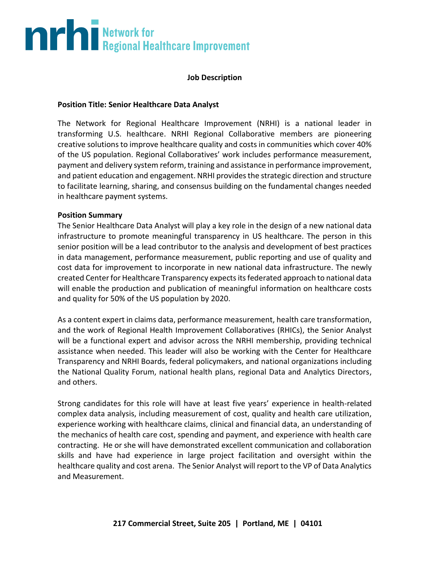# **The Second Burns of Second Healthcare Improvement**

#### **Job Description**

#### **Position Title: Senior Healthcare Data Analyst**

The Network for Regional Healthcare Improvement (NRHI) is a national leader in transforming U.S. healthcare. NRHI Regional Collaborative members are pioneering creative solutions to improve healthcare quality and costs in communities which cover 40% of the US population. Regional Collaboratives' work includes performance measurement, payment and delivery system reform, training and assistance in performance improvement, and patient education and engagement. NRHI provides the strategic direction and structure to facilitate learning, sharing, and consensus building on the fundamental changes needed in healthcare payment systems.

#### **Position Summary**

The Senior Healthcare Data Analyst will play a key role in the design of a new national data infrastructure to promote meaningful transparency in US healthcare. The person in this senior position will be a lead contributor to the analysis and development of best practices in data management, performance measurement, public reporting and use of quality and cost data for improvement to incorporate in new national data infrastructure. The newly created Center for Healthcare Transparency expects its federated approach to national data will enable the production and publication of meaningful information on healthcare costs and quality for 50% of the US population by 2020.

As a content expert in claims data, performance measurement, health care transformation, and the work of Regional Health Improvement Collaboratives (RHICs), the Senior Analyst will be a functional expert and advisor across the NRHI membership, providing technical assistance when needed. This leader will also be working with the Center for Healthcare Transparency and NRHI Boards, federal policymakers, and national organizations including the National Quality Forum, national health plans, regional Data and Analytics Directors, and others.

Strong candidates for this role will have at least five years' experience in health-related complex data analysis, including measurement of cost, quality and health care utilization, experience working with healthcare claims, clinical and financial data, an understanding of the mechanics of health care cost, spending and payment, and experience with health care contracting. He or she will have demonstrated excellent communication and collaboration skills and have had experience in large project facilitation and oversight within the healthcare quality and cost arena. The Senior Analyst will report to the VP of Data Analytics and Measurement.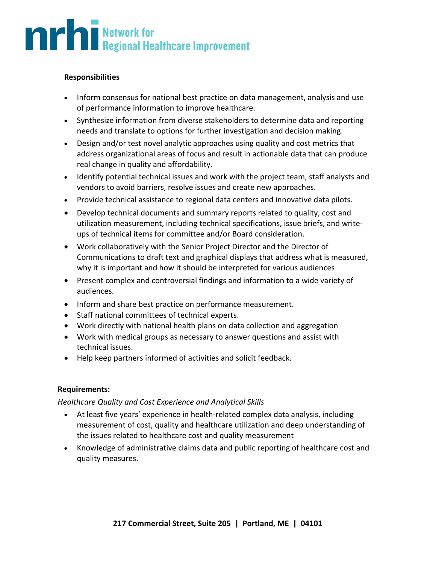## **Allen School September 1986**<br>Regional Healthcare Improvement

#### **Responsibilities**

- Inform consensus for national best practice on data management, analysis and use of performance information to improve healthcare.
- Synthesize information from diverse stakeholders to determine data and reporting needs and translate to options for further investigation and decision making.
- Design and/or test novel analytic approaches using quality and cost metrics that address organizational areas of focus and result in actionable data that can produce real change in quality and affordability.
- Identify potential technical issues and work with the project team, staff analysts and vendors to avoid barriers, resolve issues and create new approaches.
- Provide technical assistance to regional data centers and innovative data pilots.
- Develop technical documents and summary reports related to quality, cost and utilization measurement, including technical specifications, issue briefs, and writeups of technical items for committee and/or Board consideration.
- Work collaboratively with the Senior Project Director and the Director of Communications to draft text and graphical displays that address what is measured, why it is important and how it should be interpreted for various audiences
- Present complex and controversial findings and information to a wide variety of audiences.
- Inform and share best practice on performance measurement.
- Staff national committees of technical experts.
- Work directly with national health plans on data collection and aggregation
- Work with medical groups as necessary to answer questions and assist with technical issues.
- Help keep partners informed of activities and solicit feedback.

#### **Requirements:**

#### *Healthcare Quality and Cost Experience and Analytical Skills*

- At least five years' experience in health-related complex data analysis, including measurement of cost, quality and healthcare utilization and deep understanding of the issues related to healthcare cost and quality measurement
- Knowledge of administrative claims data and public reporting of healthcare cost and quality measures.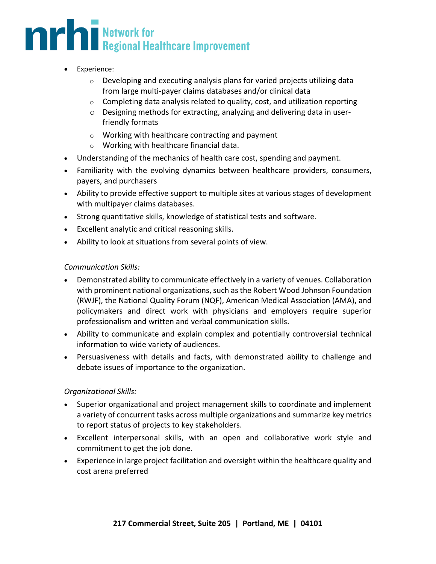### **THE Regional Healthcare Improvement**

- Experience:
	- $\circ$  Developing and executing analysis plans for varied projects utilizing data from large multi-payer claims databases and/or clinical data
	- $\circ$  Completing data analysis related to quality, cost, and utilization reporting
	- o Designing methods for extracting, analyzing and delivering data in userfriendly formats
	- o Working with healthcare contracting and payment
	- o Working with healthcare financial data.
- Understanding of the mechanics of health care cost, spending and payment.
- Familiarity with the evolving dynamics between healthcare providers, consumers, payers, and purchasers
- Ability to provide effective support to multiple sites at various stages of development with multipayer claims databases.
- Strong quantitative skills, knowledge of statistical tests and software.
- Excellent analytic and critical reasoning skills.
- Ability to look at situations from several points of view.

#### *Communication Skills:*

- Demonstrated ability to communicate effectively in a variety of venues. Collaboration with prominent national organizations, such as the Robert Wood Johnson Foundation (RWJF), the National Quality Forum (NQF), American Medical Association (AMA), and policymakers and direct work with physicians and employers require superior professionalism and written and verbal communication skills.
- Ability to communicate and explain complex and potentially controversial technical information to wide variety of audiences.
- Persuasiveness with details and facts, with demonstrated ability to challenge and debate issues of importance to the organization.

#### *Organizational Skills:*

- Superior organizational and project management skills to coordinate and implement a variety of concurrent tasks across multiple organizations and summarize key metrics to report status of projects to key stakeholders.
- Excellent interpersonal skills, with an open and collaborative work style and commitment to get the job done.
- Experience in large project facilitation and oversight within the healthcare quality and cost arena preferred